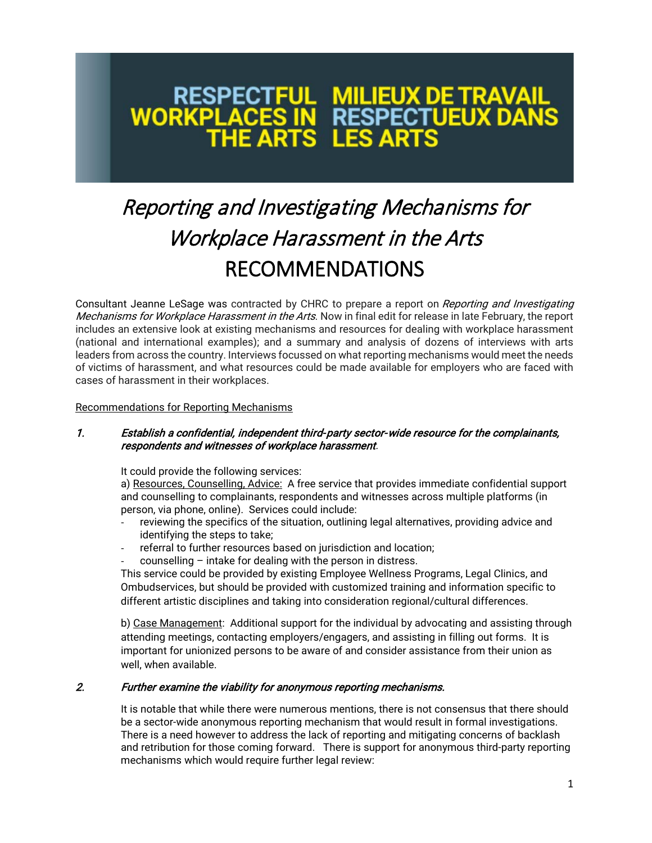# **MILIEUX DE TRAVAIL<br>RESPECTUEUX DANS<br>LES ARTS WORKPL** THE ART

# Reporting and Investigating Mechanisms for Workplace Harassment in the Arts RECOMMENDATIONS

Consultant Jeanne LeSage was contracted by CHRC to prepare a report on Reporting and Investigating Mechanisms for Workplace Harassment in the Arts. Now in final edit for release in late February, the report includes an extensive look at existing mechanisms and resources for dealing with workplace harassment (national and international examples); and a summary and analysis of dozens of interviews with arts leaders from across the country. Interviews focussed on what reporting mechanisms would meet the needs of victims of harassment, and what resources could be made available for employers who are faced with cases of harassment in their workplaces.

#### Recommendations for Reporting Mechanisms

### 1. Establish a confidential, independent third-party sector-wide resource for the complainants, respondents and witnesses of workplace harassment.

It could provide the following services:

a) Resources, Counselling, Advice: A free service that provides immediate confidential support and counselling to complainants, respondents and witnesses across multiple platforms (in person, via phone, online). Services could include:

- reviewing the specifics of the situation, outlining legal alternatives, providing advice and identifying the steps to take;
- referral to further resources based on jurisdiction and location;
- $c$ ounselling intake for dealing with the person in distress.

This service could be provided by existing Employee Wellness Programs, Legal Clinics, and Ombudservices, but should be provided with customized training and information specific to different artistic disciplines and taking into consideration regional/cultural differences.

b) Case Management: Additional support for the individual by advocating and assisting through attending meetings, contacting employers/engagers, and assisting in filling out forms. It is important for unionized persons to be aware of and consider assistance from their union as well, when available.

# 2. Further examine the viability for anonymous reporting mechanisms.

It is notable that while there were numerous mentions, there is not consensus that there should be a sector-wide anonymous reporting mechanism that would result in formal investigations. There is a need however to address the lack of reporting and mitigating concerns of backlash and retribution for those coming forward. There is support for anonymous third-party reporting mechanisms which would require further legal review: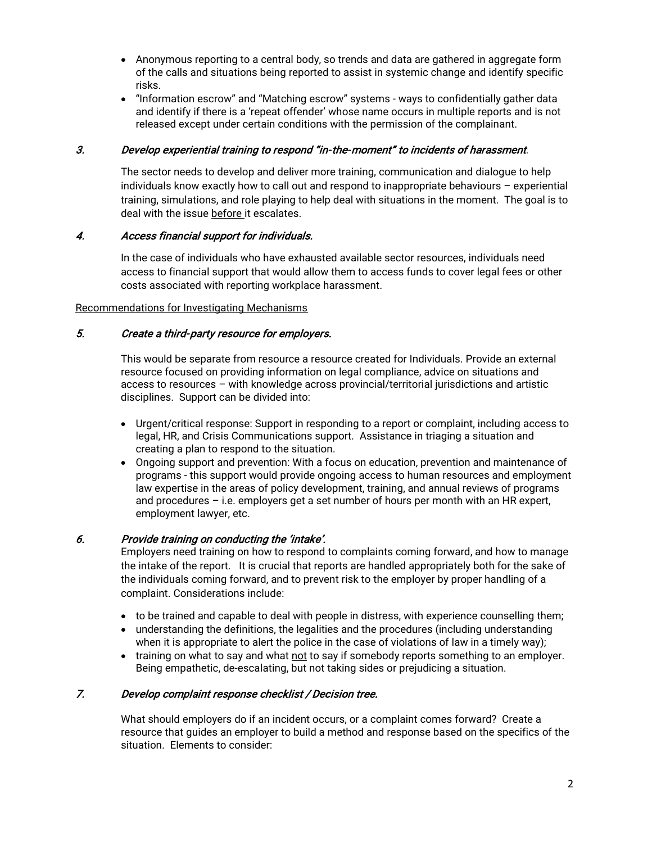- Anonymous reporting to a central body, so trends and data are gathered in aggregate form of the calls and situations being reported to assist in systemic change and identify specific risks.
- "Information escrow" and "Matching escrow" systems ways to confidentially gather data and identify if there is a 'repeat offender' whose name occurs in multiple reports and is not released except under certain conditions with the permission of the complainant.

## 3. Develop experiential training to respond "in-the-moment" to incidents of harassment.

The sector needs to develop and deliver more training, communication and dialogue to help individuals know exactly how to call out and respond to inappropriate behaviours – experiential training, simulations, and role playing to help deal with situations in the moment. The goal is to deal with the issue before it escalates.

### 4. Access financial support for individuals.

In the case of individuals who have exhausted available sector resources, individuals need access to financial support that would allow them to access funds to cover legal fees or other costs associated with reporting workplace harassment.

#### Recommendations for Investigating Mechanisms

# 5. Create a third-party resource for employers.

This would be separate from resource a resource created for Individuals. Provide an external resource focused on providing information on legal compliance, advice on situations and access to resources – with knowledge across provincial/territorial jurisdictions and artistic disciplines. Support can be divided into:

- Urgent/critical response: Support in responding to a report or complaint, including access to legal, HR, and Crisis Communications support. Assistance in triaging a situation and creating a plan to respond to the situation.
- Ongoing support and prevention: With a focus on education, prevention and maintenance of programs - this support would provide ongoing access to human resources and employment law expertise in the areas of policy development, training, and annual reviews of programs and procedures – i.e. employers get a set number of hours per month with an HR expert, employment lawyer, etc.

# 6. Provide training on conducting the 'intake'.

Employers need training on how to respond to complaints coming forward, and how to manage the intake of the report. It is crucial that reports are handled appropriately both for the sake of the individuals coming forward, and to prevent risk to the employer by proper handling of a complaint. Considerations include:

- to be trained and capable to deal with people in distress, with experience counselling them;
- understanding the definitions, the legalities and the procedures (including understanding when it is appropriate to alert the police in the case of violations of law in a timely way);
- training on what to say and what not to say if somebody reports something to an employer. Being empathetic, de-escalating, but not taking sides or prejudicing a situation.

# 7. Develop complaint response checklist / Decision tree.

What should employers do if an incident occurs, or a complaint comes forward? Create a resource that guides an employer to build a method and response based on the specifics of the situation. Elements to consider: